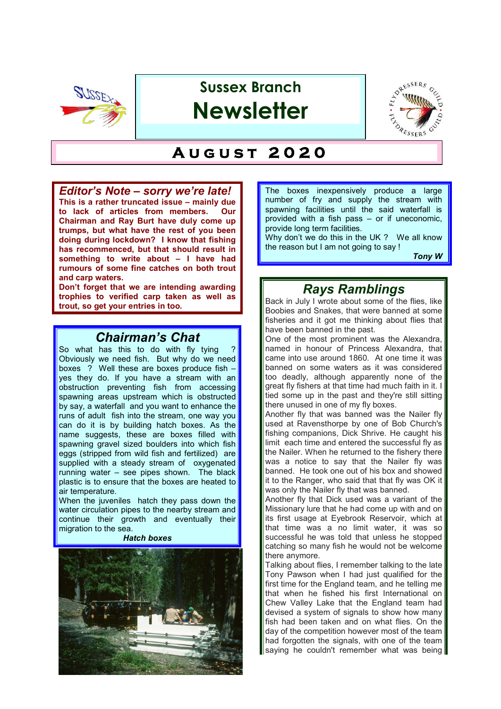

# **Sussex Branch Newsletter**



# $AU G U S T 2020$

### *Editor's Note – sorry we're late!*

**This is a rather truncated issue – mainly due to lack of articles from members. Our Chairman and Ray Burt have duly come up trumps, but what have the rest of you been doing during lockdown? I know that fishing has recommenced, but that should result in something to write about – I have had rumours of some fine catches on both trout and carp waters.**

**Don't forget that we are intending awarding trophies to verified carp taken as well as trout, so get your entries in too.**

# *Chairman's Chat*

So what has this to do with fly tying ? Obviously we need fish. But why do we need boxes ? Well these are boxes produce fish – yes they do. If you have a stream with an obstruction preventing fish from accessing spawning areas upstream which is obstructed by say, a waterfall and you want to enhance the runs of adult fish into the stream, one way you can do it is by building hatch boxes. As the name suggests, these are boxes filled with spawning gravel sized boulders into which fish eggs (stripped from wild fish and fertilized) are supplied with a steady stream of oxygenated running water – see pipes shown. The black plastic is to ensure that the boxes are heated to air temperature.

When the juveniles hatch they pass down the water circulation pipes to the nearby stream and continue their growth and eventually their migration to the sea.

#### *Hatch boxes*



The boxes inexpensively produce a large number of fry and supply the stream with spawning facilities until the said waterfall is provided with a fish pass – or if uneconomic, provide long term facilities.

Why don't we do this in the UK ? We all know the reason but I am not going to say !

*Tony W* 

# *Rays Ramblings*

Back in July I wrote about some of the flies, like Boobies and Snakes, that were banned at some fisheries and it got me thinking about flies that have been banned in the past.

One of the most prominent was the Alexandra, named in honour of Princess Alexandra, that came into use around 1860. At one time it was banned on some waters as it was considered too deadly, although apparently none of the great fly fishers at that time had much faith in it. I tied some up in the past and they're still sitting there unused in one of my fly boxes.

Another fly that was banned was the Nailer fly used at Ravensthorpe by one of Bob Church's fishing companions, Dick Shrive. He caught his limit each time and entered the successful fly as the Nailer. When he returned to the fishery there was a notice to say that the Nailer fly was banned. He took one out of his box and showed it to the Ranger, who said that that fly was OK it was only the Nailer fly that was banned.

Another fly that Dick used was a variant of the Missionary lure that he had come up with and on its first usage at Eyebrook Reservoir, which at that time was a no limit water, it was so successful he was told that unless he stopped catching so many fish he would not be welcome there anymore.

Talking about flies, I remember talking to the late Tony Pawson when I had just qualified for the first time for the England team, and he telling me that when he fished his first International on Chew Valley Lake that the England team had devised a system of signals to show how many fish had been taken and on what flies. On the day of the competition however most of the team had forgotten the signals, with one of the team saying he couldn't remember what was being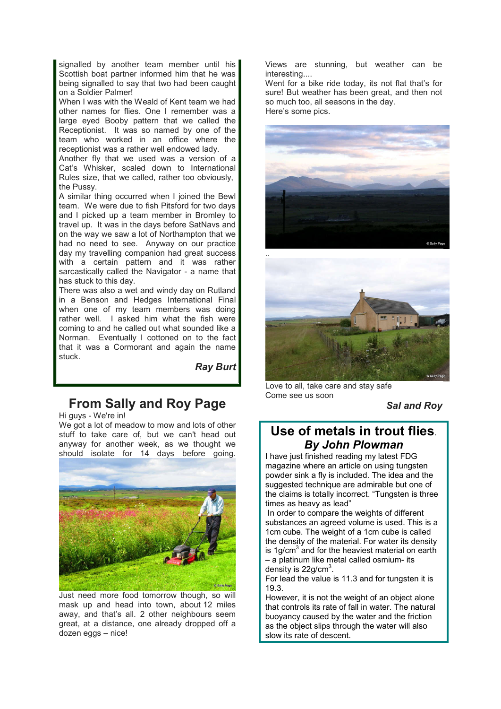signalled by another team member until his Scottish boat partner informed him that he was being signalled to say that two had been caught on a Soldier Palmer!

When I was with the Weald of Kent team we had other names for flies. One I remember was a large eyed Booby pattern that we called the Receptionist. It was so named by one of the team who worked in an office where the receptionist was a rather well endowed lady.

Another fly that we used was a version of a Cat's Whisker, scaled down to International Rules size, that we called, rather too obviously, the Pussy.

A similar thing occurred when I joined the Bewl team. We were due to fish Pitsford for two days and I picked up a team member in Bromley to travel up. It was in the days before SatNavs and on the way we saw a lot of Northampton that we had no need to see. Anyway on our practice day my travelling companion had great success with a certain pattern and it was rather sarcastically called the Navigator - a name that has stuck to this day.

There was also a wet and windy day on Rutland in a Benson and Hedges International Final when one of my team members was doing rather well. I asked him what the fish were coming to and he called out what sounded like a Norman. Eventually I cottoned on to the fact that it was a Cormorant and again the name stuck.

*Ray Burt*

# **From Sally and Roy Page**

Hi guys - We're in!

We got a lot of meadow to mow and lots of other stuff to take care of, but we can't head out anyway for another week, as we thought we should isolate for 14 days before going.



Just need more food tomorrow though, so will mask up and head into town, about 12 miles away, and that's all. 2 other neighbours seem great, at a distance, one already dropped off a dozen eggs – nice!

Views are stunning, but weather can be interesting....

Went for a bike ride today, its not flat that's for sure! But weather has been great, and then not so much too, all seasons in the day. Here's some pics.





Love to all, take care and stay safe Come see us soon

*Sal and Roy*

## **Use of metals in trout flies**. *By John Plowman*

I have just finished reading my latest FDG magazine where an article on using tungsten powder sink a fly is included. The idea and the suggested technique are admirable but one of the claims is totally incorrect. "Tungsten is three times as heavy as lead"

 In order to compare the weights of different substances an agreed volume is used. This is a 1cm cube. The weight of a 1cm cube is called the density of the material. For water its density is 1g/cm $^3$  and for the heaviest material on earth – a platinum like metal called osmium- its density is  $22$ g/cm<sup>3</sup>.

For lead the value is 11.3 and for tungsten it is 19.3.

However, it is not the weight of an object alone that controls its rate of fall in water. The natural buoyancy caused by the water and the friction as the object slips through the water will also slow its rate of descent.